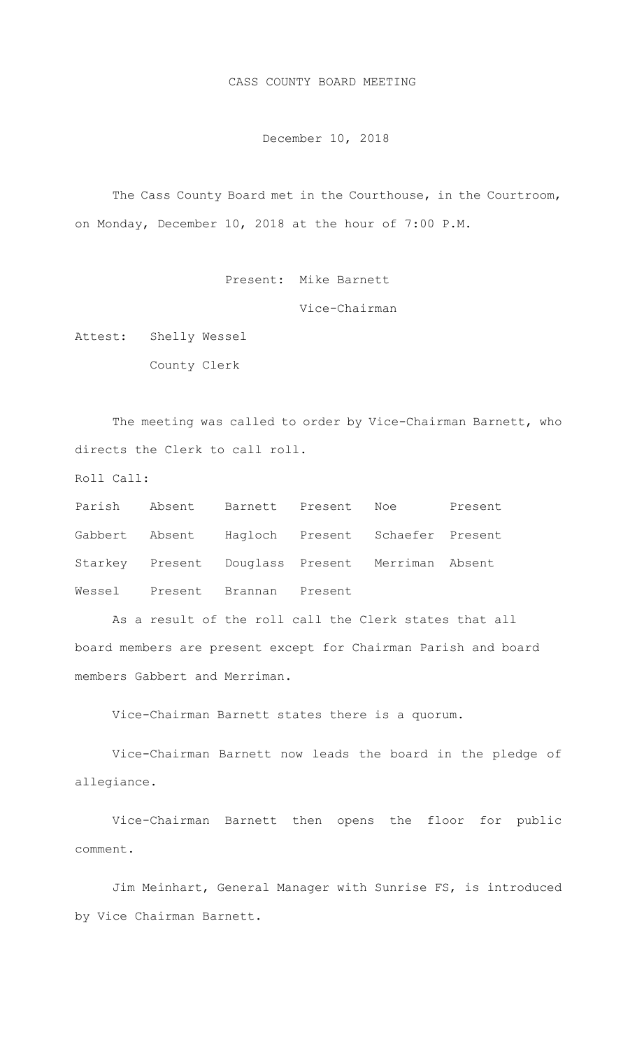CASS COUNTY BOARD MEETING

December 10, 2018

The Cass County Board met in the Courthouse, in the Courtroom, on Monday, December 10, 2018 at the hour of 7:00 P.M.

Present: Mike Barnett

Vice-Chairman

Attest: Shelly Wessel

County Clerk

The meeting was called to order by Vice-Chairman Barnett, who directs the Clerk to call roll.

Roll Call:

|  |                                | Parish Absent Barnett Present Noe Present        |  |
|--|--------------------------------|--------------------------------------------------|--|
|  |                                | Gabbert Absent Hagloch Present Schaefer Present  |  |
|  |                                | Starkey Present Douglass Present Merriman Absent |  |
|  | Wessel Present Brannan Present |                                                  |  |

As a result of the roll call the Clerk states that all board members are present except for Chairman Parish and board members Gabbert and Merriman.

Vice-Chairman Barnett states there is a quorum.

Vice-Chairman Barnett now leads the board in the pledge of allegiance.

Vice-Chairman Barnett then opens the floor for public comment.

Jim Meinhart, General Manager with Sunrise FS, is introduced by Vice Chairman Barnett.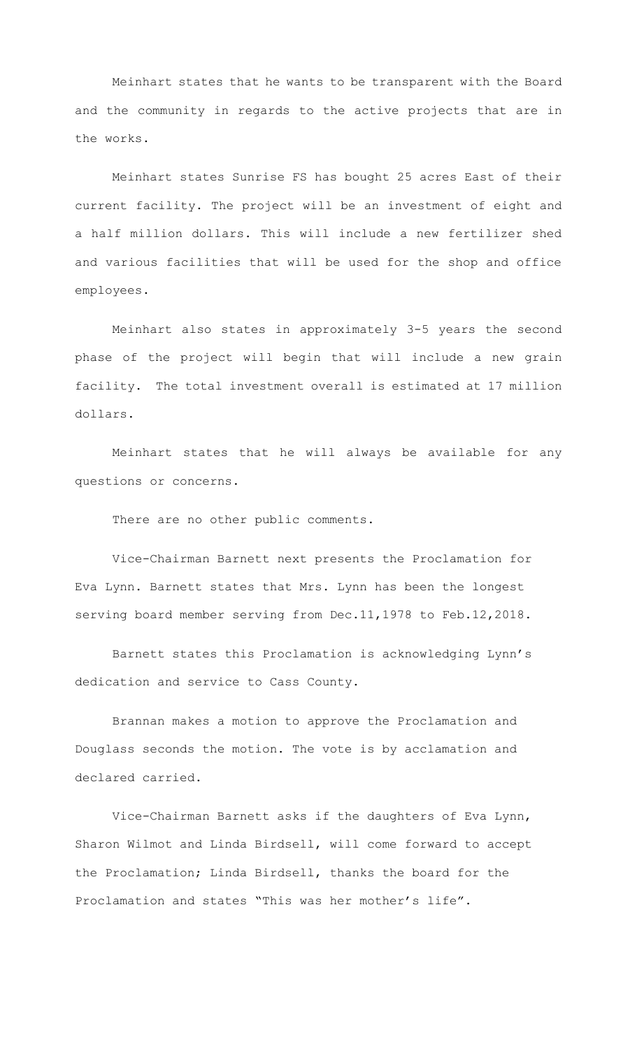Meinhart states that he wants to be transparent with the Board and the community in regards to the active projects that are in the works.

Meinhart states Sunrise FS has bought 25 acres East of their current facility. The project will be an investment of eight and a half million dollars. This will include a new fertilizer shed and various facilities that will be used for the shop and office employees.

Meinhart also states in approximately 3-5 years the second phase of the project will begin that will include a new grain facility. The total investment overall is estimated at 17 million dollars.

Meinhart states that he will always be available for any questions or concerns.

There are no other public comments.

Vice-Chairman Barnett next presents the Proclamation for Eva Lynn. Barnett states that Mrs. Lynn has been the longest serving board member serving from Dec.11,1978 to Feb.12,2018.

Barnett states this Proclamation is acknowledging Lynn's dedication and service to Cass County.

Brannan makes a motion to approve the Proclamation and Douglass seconds the motion. The vote is by acclamation and declared carried.

Vice-Chairman Barnett asks if the daughters of Eva Lynn, Sharon Wilmot and Linda Birdsell, will come forward to accept the Proclamation; Linda Birdsell, thanks the board for the Proclamation and states "This was her mother's life".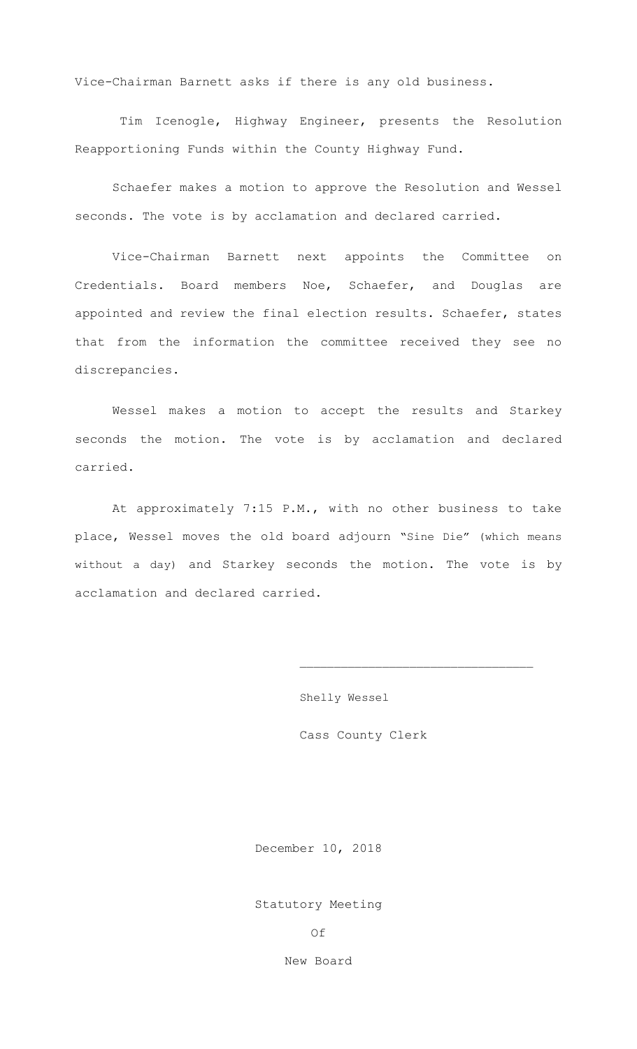Vice-Chairman Barnett asks if there is any old business.

 Tim Icenogle, Highway Engineer, presents the Resolution Reapportioning Funds within the County Highway Fund.

Schaefer makes a motion to approve the Resolution and Wessel seconds. The vote is by acclamation and declared carried.

Vice-Chairman Barnett next appoints the Committee on Credentials. Board members Noe, Schaefer, and Douglas are appointed and review the final election results. Schaefer, states that from the information the committee received they see no discrepancies.

Wessel makes a motion to accept the results and Starkey seconds the motion. The vote is by acclamation and declared carried.

At approximately 7:15 P.M., with no other business to take place, Wessel moves the old board adjourn "Sine Die" (which means without a day) and Starkey seconds the motion. The vote is by acclamation and declared carried.

Shelly Wessel

Cass County Clerk

December 10, 2018

Statutory Meeting

Of

New Board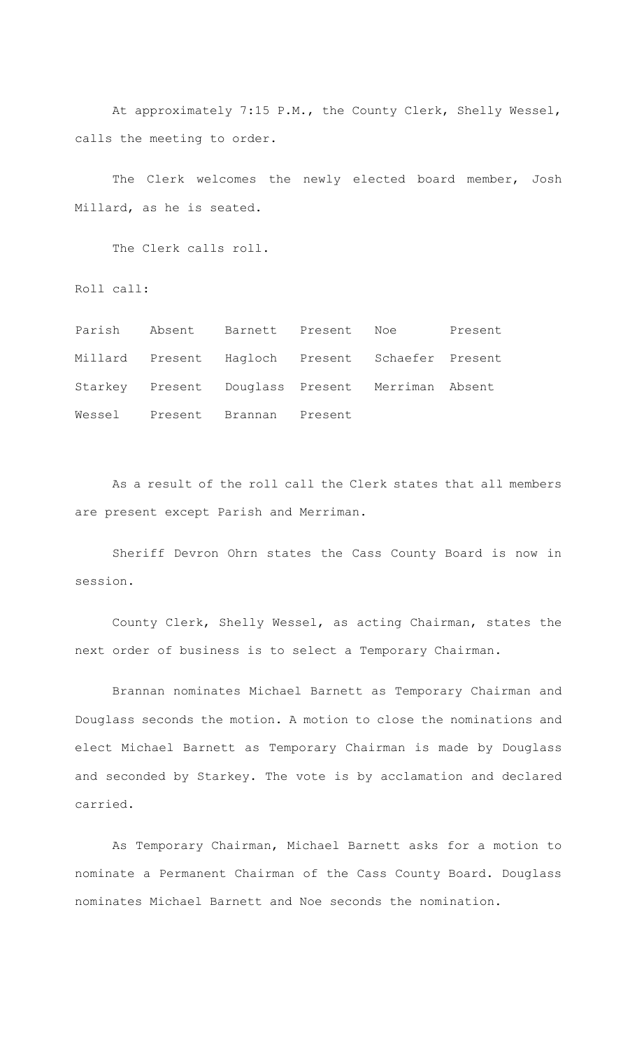At approximately 7:15 P.M., the County Clerk, Shelly Wessel, calls the meeting to order.

The Clerk welcomes the newly elected board member, Josh Millard, as he is seated.

The Clerk calls roll.

Roll call:

|  | Parish Absent Barnett Present Noe                |  | Present |
|--|--------------------------------------------------|--|---------|
|  | Millard Present Hagloch Present Schaefer Present |  |         |
|  | Starkey Present Douglass Present Merriman Absent |  |         |
|  | Wessel Present Brannan Present                   |  |         |

As a result of the roll call the Clerk states that all members are present except Parish and Merriman.

 Sheriff Devron Ohrn states the Cass County Board is now in session.

County Clerk, Shelly Wessel, as acting Chairman, states the next order of business is to select a Temporary Chairman.

Brannan nominates Michael Barnett as Temporary Chairman and Douglass seconds the motion. A motion to close the nominations and elect Michael Barnett as Temporary Chairman is made by Douglass and seconded by Starkey. The vote is by acclamation and declared carried.

As Temporary Chairman, Michael Barnett asks for a motion to nominate a Permanent Chairman of the Cass County Board. Douglass nominates Michael Barnett and Noe seconds the nomination.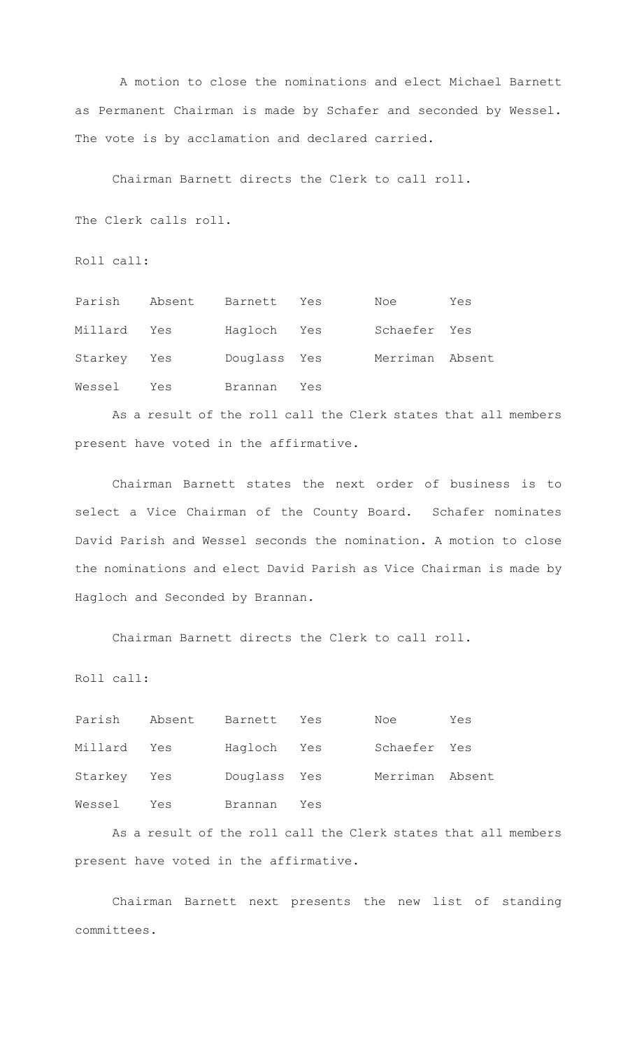A motion to close the nominations and elect Michael Barnett as Permanent Chairman is made by Schafer and seconded by Wessel. The vote is by acclamation and declared carried.

Chairman Barnett directs the Clerk to call roll.

The Clerk calls roll.

Roll call:

| Parish      | Absent | Barnett      | Yes | Noe             | Yes |
|-------------|--------|--------------|-----|-----------------|-----|
| Millard     | Yes    | Hagloch Yes  |     | Schaefer Yes    |     |
| Starkey Yes |        | Douglass Yes |     | Merriman Absent |     |
| Wessel      | Yes    | Brannan      | Yes |                 |     |

As a result of the roll call the Clerk states that all members present have voted in the affirmative.

Chairman Barnett states the next order of business is to select a Vice Chairman of the County Board. Schafer nominates David Parish and Wessel seconds the nomination. A motion to close the nominations and elect David Parish as Vice Chairman is made by Hagloch and Seconded by Brannan.

Chairman Barnett directs the Clerk to call roll.

Roll call:

| Parish      |     | Absent Barnett Yes |     | Noe             | Yes |
|-------------|-----|--------------------|-----|-----------------|-----|
| Millard Yes |     | Hagloch Yes        |     | Schaefer Yes    |     |
| Starkey Yes |     | Douglass Yes       |     | Merriman Absent |     |
| Wessel      | Yes | Brannan            | Yes |                 |     |

As a result of the roll call the Clerk states that all members present have voted in the affirmative.

Chairman Barnett next presents the new list of standing committees.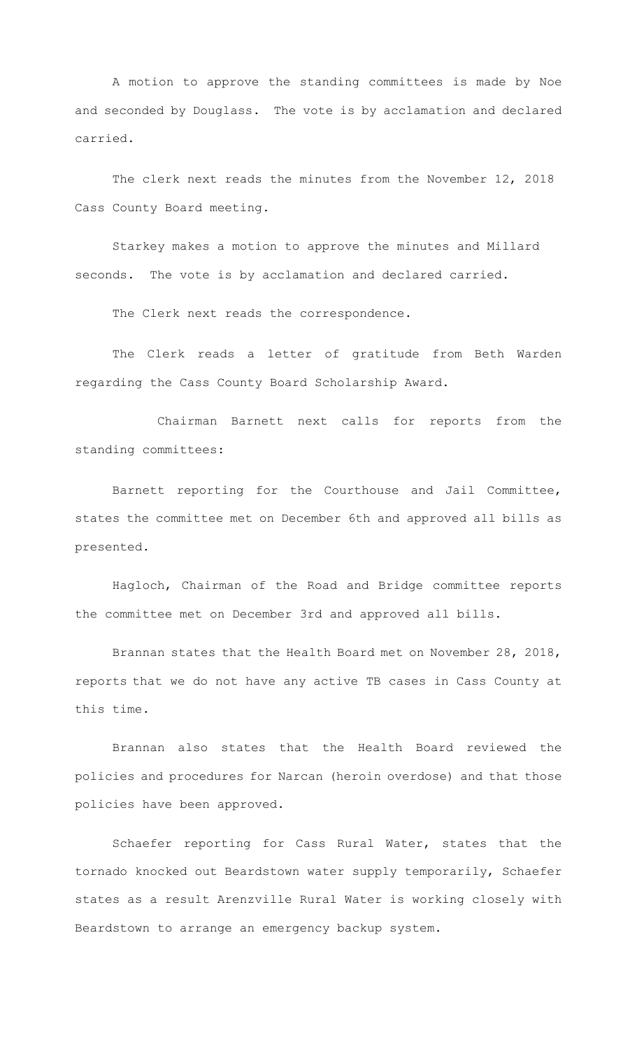A motion to approve the standing committees is made by Noe and seconded by Douglass. The vote is by acclamation and declared carried.

The clerk next reads the minutes from the November 12, 2018 Cass County Board meeting.

Starkey makes a motion to approve the minutes and Millard seconds. The vote is by acclamation and declared carried.

The Clerk next reads the correspondence.

The Clerk reads a letter of gratitude from Beth Warden regarding the Cass County Board Scholarship Award.

 Chairman Barnett next calls for reports from the standing committees:

Barnett reporting for the Courthouse and Jail Committee, states the committee met on December 6th and approved all bills as presented.

Hagloch, Chairman of the Road and Bridge committee reports the committee met on December 3rd and approved all bills.

Brannan states that the Health Board met on November 28, 2018, reports that we do not have any active TB cases in Cass County at this time.

Brannan also states that the Health Board reviewed the policies and procedures for Narcan (heroin overdose) and that those policies have been approved.

Schaefer reporting for Cass Rural Water, states that the tornado knocked out Beardstown water supply temporarily, Schaefer states as a result Arenzville Rural Water is working closely with Beardstown to arrange an emergency backup system.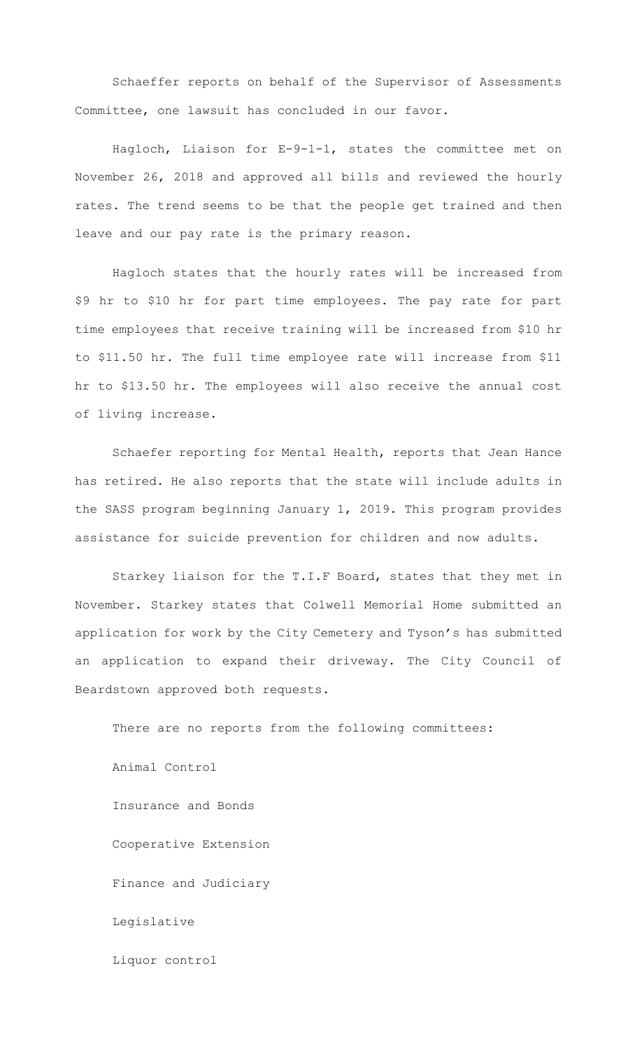Schaeffer reports on behalf of the Supervisor of Assessments Committee, one lawsuit has concluded in our favor.

Hagloch, Liaison for E-9-1-1, states the committee met on November 26, 2018 and approved all bills and reviewed the hourly rates. The trend seems to be that the people get trained and then leave and our pay rate is the primary reason.

Hagloch states that the hourly rates will be increased from \$9 hr to \$10 hr for part time employees. The pay rate for part time employees that receive training will be increased from \$10 hr to \$11.50 hr. The full time employee rate will increase from \$11 hr to \$13.50 hr. The employees will also receive the annual cost of living increase.

Schaefer reporting for Mental Health, reports that Jean Hance has retired. He also reports that the state will include adults in the SASS program beginning January 1, 2019. This program provides assistance for suicide prevention for children and now adults.

Starkey liaison for the T.I.F Board, states that they met in November. Starkey states that Colwell Memorial Home submitted an application for work by the City Cemetery and Tyson's has submitted an application to expand their driveway. The City Council of Beardstown approved both requests.

There are no reports from the following committees: Animal Control Insurance and Bonds Cooperative Extension Finance and Judiciary Legislative Liquor control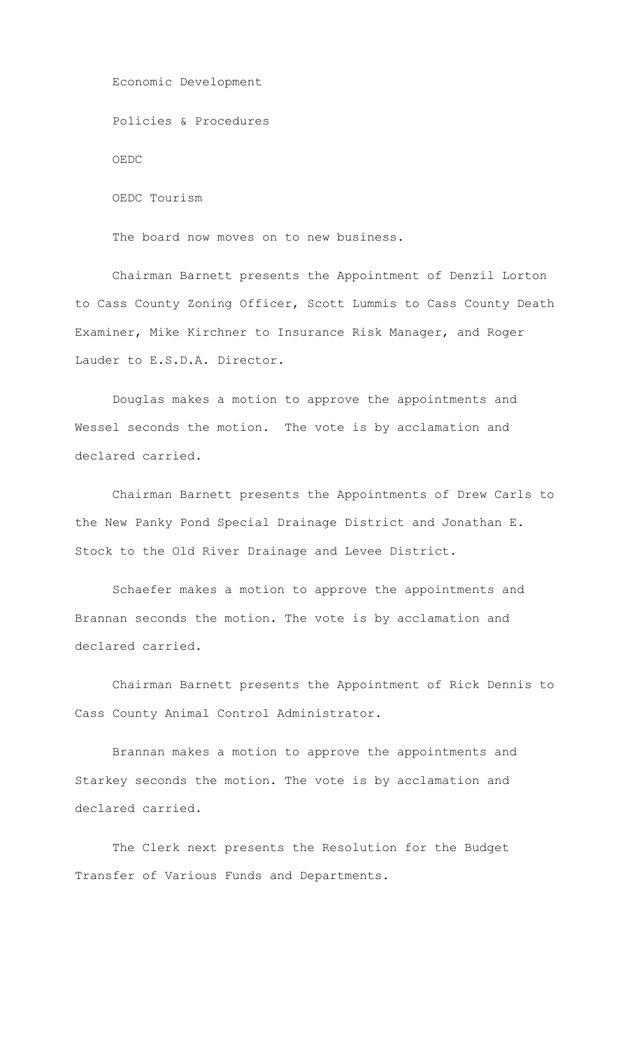Economic Development Policies & Procedures OEDC OEDC Tourism

The board now moves on to new business.

Chairman Barnett presents the Appointment of Denzil Lorton to Cass County Zoning Officer, Scott Lummis to Cass County Death Examiner, Mike Kirchner to Insurance Risk Manager, and Roger Lauder to E.S.D.A. Director.

Douglas makes a motion to approve the appointments and Wessel seconds the motion. The vote is by acclamation and declared carried.

Chairman Barnett presents the Appointments of Drew Carls to the New Panky Pond Special Drainage District and Jonathan E. Stock to the Old River Drainage and Levee District.

Schaefer makes a motion to approve the appointments and Brannan seconds the motion. The vote is by acclamation and declared carried.

Chairman Barnett presents the Appointment of Rick Dennis to Cass County Animal Control Administrator.

Brannan makes a motion to approve the appointments and Starkey seconds the motion. The vote is by acclamation and declared carried.

The Clerk next presents the Resolution for the Budget Transfer of Various Funds and Departments.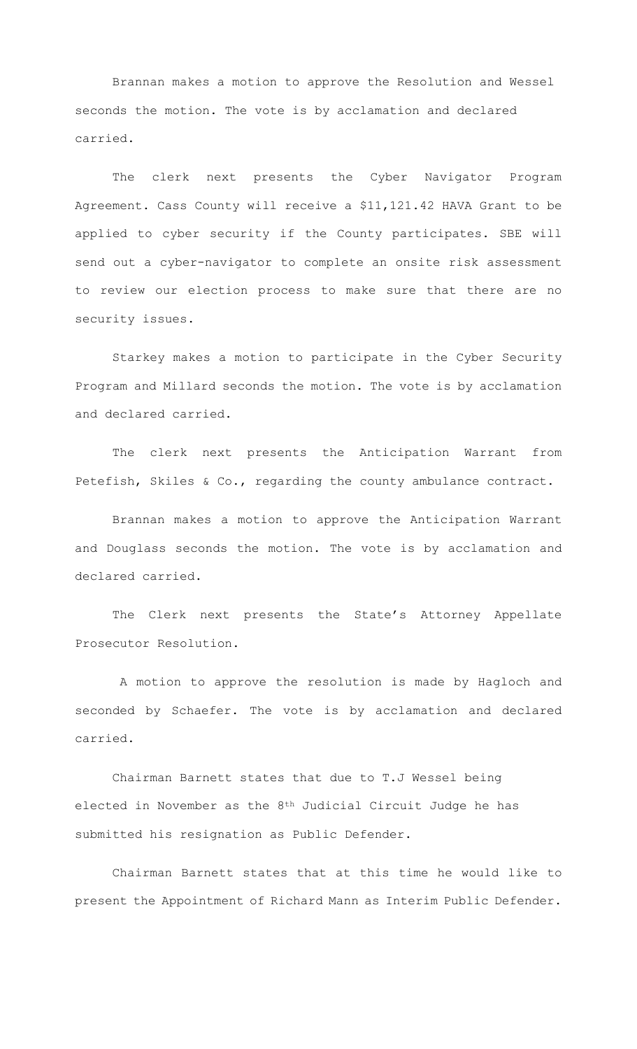Brannan makes a motion to approve the Resolution and Wessel seconds the motion. The vote is by acclamation and declared carried.

The clerk next presents the Cyber Navigator Program Agreement. Cass County will receive a \$11,121.42 HAVA Grant to be applied to cyber security if the County participates. SBE will send out a cyber-navigator to complete an onsite risk assessment to review our election process to make sure that there are no security issues.

Starkey makes a motion to participate in the Cyber Security Program and Millard seconds the motion. The vote is by acclamation and declared carried.

The clerk next presents the Anticipation Warrant from Petefish, Skiles & Co., regarding the county ambulance contract.

Brannan makes a motion to approve the Anticipation Warrant and Douglass seconds the motion. The vote is by acclamation and declared carried.

The Clerk next presents the State's Attorney Appellate Prosecutor Resolution.

A motion to approve the resolution is made by Hagloch and seconded by Schaefer. The vote is by acclamation and declared carried.

Chairman Barnett states that due to T.J Wessel being elected in November as the 8th Judicial Circuit Judge he has submitted his resignation as Public Defender.

Chairman Barnett states that at this time he would like to present the Appointment of Richard Mann as Interim Public Defender.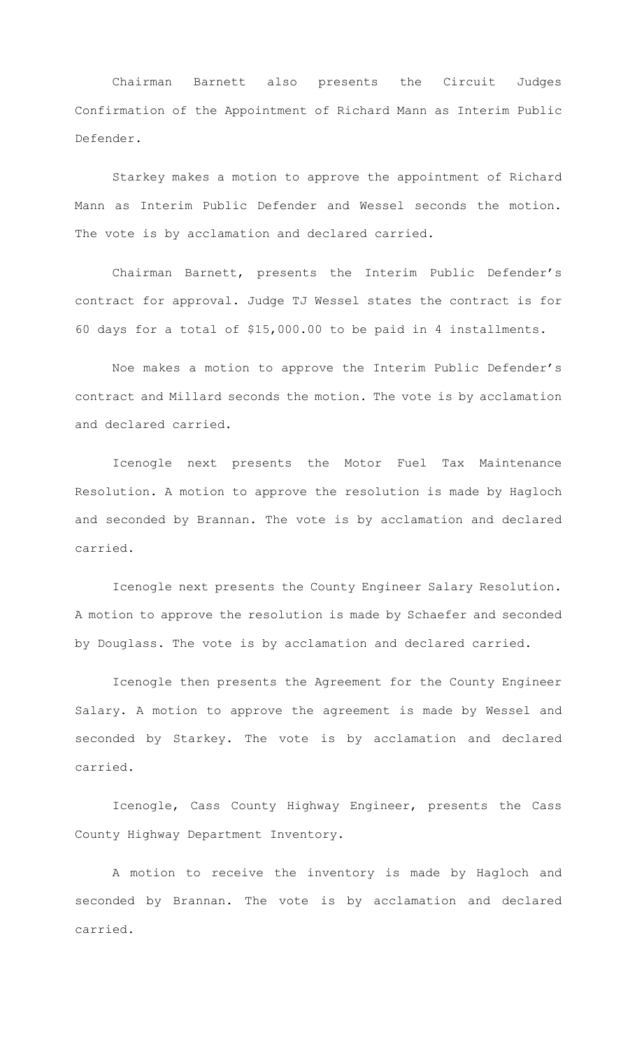Chairman Barnett also presents the Circuit Judges Confirmation of the Appointment of Richard Mann as Interim Public Defender.

Starkey makes a motion to approve the appointment of Richard Mann as Interim Public Defender and Wessel seconds the motion. The vote is by acclamation and declared carried.

Chairman Barnett, presents the Interim Public Defender's contract for approval. Judge TJ Wessel states the contract is for 60 days for a total of \$15,000.00 to be paid in 4 installments.

Noe makes a motion to approve the Interim Public Defender's contract and Millard seconds the motion. The vote is by acclamation and declared carried.

Icenogle next presents the Motor Fuel Tax Maintenance Resolution. A motion to approve the resolution is made by Hagloch and seconded by Brannan. The vote is by acclamation and declared carried.

Icenogle next presents the County Engineer Salary Resolution. A motion to approve the resolution is made by Schaefer and seconded by Douglass. The vote is by acclamation and declared carried.

Icenogle then presents the Agreement for the County Engineer Salary. A motion to approve the agreement is made by Wessel and seconded by Starkey. The vote is by acclamation and declared carried.

Icenogle, Cass County Highway Engineer, presents the Cass County Highway Department Inventory.

A motion to receive the inventory is made by Hagloch and seconded by Brannan. The vote is by acclamation and declared carried.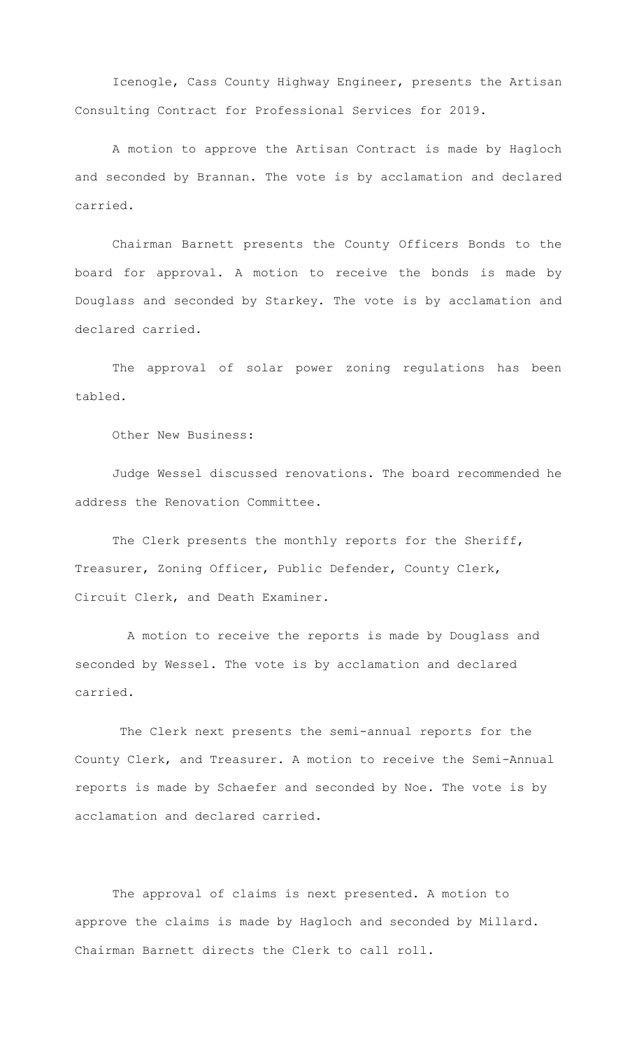Icenogle, Cass County Highway Engineer, presents the Artisan Consulting Contract for Professional Services for 2019.

A motion to approve the Artisan Contract is made by Hagloch and seconded by Brannan. The vote is by acclamation and declared carried.

Chairman Barnett presents the County Officers Bonds to the board for approval. A motion to receive the bonds is made by Douglass and seconded by Starkey. The vote is by acclamation and declared carried.

The approval of solar power zoning regulations has been tabled.

Other New Business:

Judge Wessel discussed renovations. The board recommended he address the Renovation Committee.

The Clerk presents the monthly reports for the Sheriff, Treasurer, Zoning Officer, Public Defender, County Clerk, Circuit Clerk, and Death Examiner.

 A motion to receive the reports is made by Douglass and seconded by Wessel. The vote is by acclamation and declared carried.

The Clerk next presents the semi-annual reports for the County Clerk, and Treasurer. A motion to receive the Semi-Annual reports is made by Schaefer and seconded by Noe. The vote is by acclamation and declared carried.

The approval of claims is next presented. A motion to approve the claims is made by Hagloch and seconded by Millard. Chairman Barnett directs the Clerk to call roll.